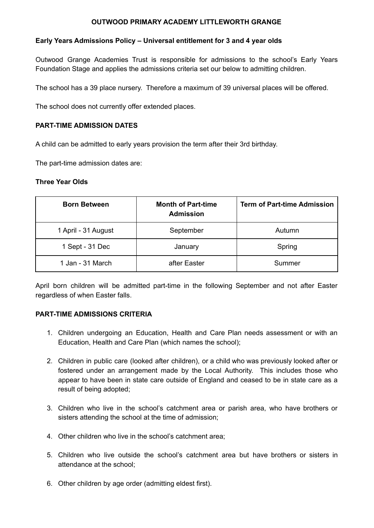## **OUTWOOD PRIMARY ACADEMY LITTLEWORTH GRANGE**

# **Early Years Admissions Policy – Universal entitlement for 3 and 4 year olds**

Outwood Grange Academies Trust is responsible for admissions to the school's Early Years Foundation Stage and applies the admissions criteria set our below to admitting children.

The school has a 39 place nursery. Therefore a maximum of 39 universal places will be offered.

The school does not currently offer extended places.

### **PART-TIME ADMISSION DATES**

A child can be admitted to early years provision the term after their 3rd birthday.

The part-time admission dates are:

#### **Three Year Olds**

| <b>Born Between</b> | <b>Month of Part-time</b><br><b>Admission</b> | <b>Term of Part-time Admission</b> |
|---------------------|-----------------------------------------------|------------------------------------|
| 1 April - 31 August | September                                     | Autumn                             |
| 1 Sept - 31 Dec     | January                                       | Spring                             |
| 1 Jan - 31 March    | after Easter                                  | Summer                             |

April born children will be admitted part-time in the following September and not after Easter regardless of when Easter falls.

### **PART-TIME ADMISSIONS CRITERIA**

- 1. Children undergoing an Education, Health and Care Plan needs assessment or with an Education, Health and Care Plan (which names the school);
- 2. Children in public care (looked after children), or a child who was previously looked after or fostered under an arrangement made by the Local Authority. This includes those who appear to have been in state care outside of England and ceased to be in state care as a result of being adopted;
- 3. Children who live in the school's catchment area or parish area, who have brothers or sisters attending the school at the time of admission;
- 4. Other children who live in the school's catchment area;
- 5. Children who live outside the school's catchment area but have brothers or sisters in attendance at the school;
- 6. Other children by age order (admitting eldest first).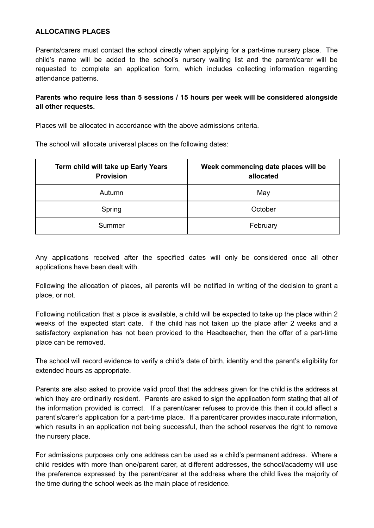### **ALLOCATING PLACES**

Parents/carers must contact the school directly when applying for a part-time nursery place. The child's name will be added to the school's nursery waiting list and the parent/carer will be requested to complete an application form, which includes collecting information regarding attendance patterns.

# **Parents who require less than 5 sessions / 15 hours per week will be considered alongside all other requests.**

Places will be allocated in accordance with the above admissions criteria.

The school will allocate universal places on the following dates:

| Term child will take up Early Years<br><b>Provision</b> | Week commencing date places will be<br>allocated |
|---------------------------------------------------------|--------------------------------------------------|
| Autumn                                                  | May                                              |
| Spring                                                  | October                                          |
| Summer                                                  | February                                         |

Any applications received after the specified dates will only be considered once all other applications have been dealt with.

Following the allocation of places, all parents will be notified in writing of the decision to grant a place, or not.

Following notification that a place is available, a child will be expected to take up the place within 2 weeks of the expected start date. If the child has not taken up the place after 2 weeks and a satisfactory explanation has not been provided to the Headteacher, then the offer of a part-time place can be removed.

The school will record evidence to verify a child's date of birth, identity and the parent's eligibility for extended hours as appropriate.

Parents are also asked to provide valid proof that the address given for the child is the address at which they are ordinarily resident. Parents are asked to sign the application form stating that all of the information provided is correct. If a parent/carer refuses to provide this then it could affect a parent's/carer's application for a part-time place. If a parent/carer provides inaccurate information, which results in an application not being successful, then the school reserves the right to remove the nursery place.

For admissions purposes only one address can be used as a child's permanent address. Where a child resides with more than one/parent carer, at different addresses, the school/academy will use the preference expressed by the parent/carer at the address where the child lives the majority of the time during the school week as the main place of residence.